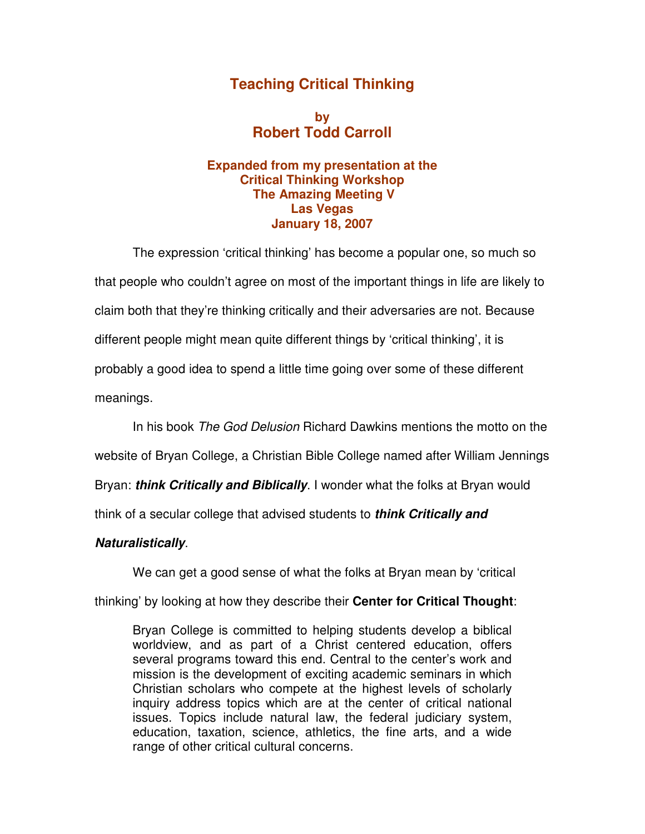# **Teaching Critical Thinking**

## **by Robert Todd Carroll**

## **Expanded from my presentation at the Critical Thinking Workshop The Amazing Meeting V Las Vegas January 18, 2007**

The expression 'critical thinking' has become a popular one, so much so that people who couldn't agree on most of the important things in life are likely to claim both that they're thinking critically and their adversaries are not. Because different people might mean quite different things by 'critical thinking', it is probably a good idea to spend a little time going over some of these different meanings.

In his book *The God Delusion* Richard Dawkins mentions the motto on the

website of Bryan College, a Christian Bible College named after William Jennings

Bryan: *think Critically and Biblically*. I wonder what the folks at Bryan would

think of a secular college that advised students to *think Critically and*

### *Naturalistically*.

We can get a good sense of what the folks at Bryan mean by 'critical

thinking' by looking at how they describe their **Center for Critical Thought**:

Bryan College is committed to helping students develop a biblical worldview, and as part of a Christ centered education, offers several programs toward this end. Central to the center's work and mission is the development of exciting academic seminars in which Christian scholars who compete at the highest levels of scholarly inquiry address topics which are at the center of critical national issues. Topics include natural law, the federal judiciary system, education, taxation, science, athletics, the fine arts, and a wide range of other critical cultural concerns.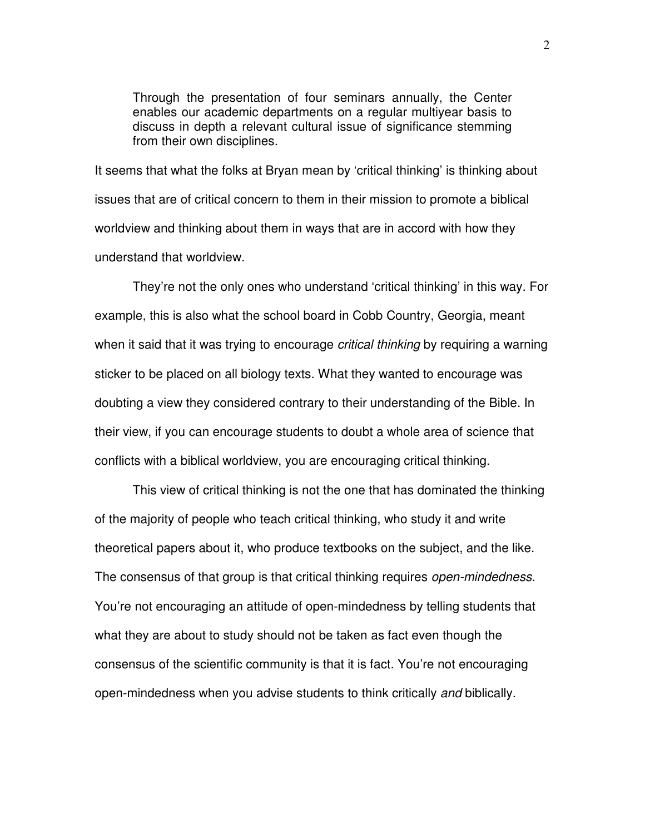Through the presentation of four seminars annually, the Center enables our academic departments on a regular multiyear basis to discuss in depth a relevant cultural issue of significance stemming from their own disciplines.

It seems that what the folks at Bryan mean by 'critical thinking' is thinking about issues that are of critical concern to them in their mission to promote a biblical worldview and thinking about them in ways that are in accord with how they understand that worldview.

They're not the only ones who understand 'critical thinking' in this way. For example, this is also what the school board in Cobb Country, Georgia, meant when it said that it was trying to encourage *critical thinking* by requiring a warning sticker to be placed on all biology texts. What they wanted to encourage was doubting a view they considered contrary to their understanding of the Bible. In their view, if you can encourage students to doubt a whole area of science that conflicts with a biblical worldview, you are encouraging critical thinking.

This view of critical thinking is not the one that has dominated the thinking of the majority of people who teach critical thinking, who study it and write theoretical papers about it, who produce textbooks on the subject, and the like. The consensus of that group is that critical thinking requires *open-mindedness*. You're not encouraging an attitude of open-mindedness by telling students that what they are about to study should not be taken as fact even though the consensus of the scientific community is that it is fact. You're not encouraging open-mindedness when you advise students to think critically *and* biblically.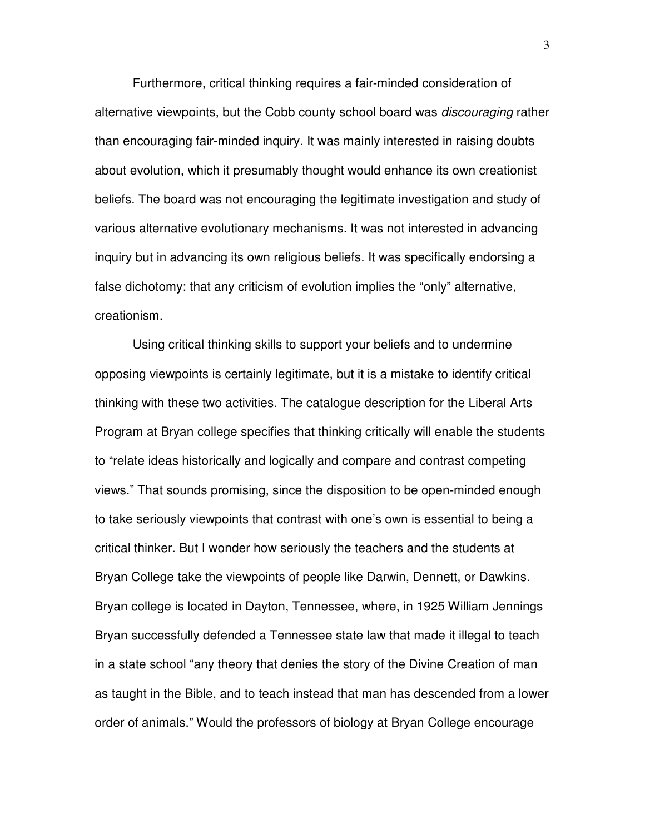Furthermore, critical thinking requires a fair-minded consideration of alternative viewpoints, but the Cobb county school board was *discouraging* rather than encouraging fair-minded inquiry. It was mainly interested in raising doubts about evolution, which it presumably thought would enhance its own creationist beliefs. The board was not encouraging the legitimate investigation and study of various alternative evolutionary mechanisms. It was not interested in advancing inquiry but in advancing its own religious beliefs. It was specifically endorsing a false dichotomy: that any criticism of evolution implies the "only" alternative, creationism.

Using critical thinking skills to support your beliefs and to undermine opposing viewpoints is certainly legitimate, but it is a mistake to identify critical thinking with these two activities. The catalogue description for the Liberal Arts Program at Bryan college specifies that thinking critically will enable the students to "relate ideas historically and logically and compare and contrast competing views." That sounds promising, since the disposition to be open-minded enough to take seriously viewpoints that contrast with one's own is essential to being a critical thinker. But I wonder how seriously the teachers and the students at Bryan College take the viewpoints of people like Darwin, Dennett, or Dawkins. Bryan college is located in Dayton, Tennessee, where, in 1925 William Jennings Bryan successfully defended a Tennessee state law that made it illegal to teach in a state school "any theory that denies the story of the Divine Creation of man as taught in the Bible, and to teach instead that man has descended from a lower order of animals." Would the professors of biology at Bryan College encourage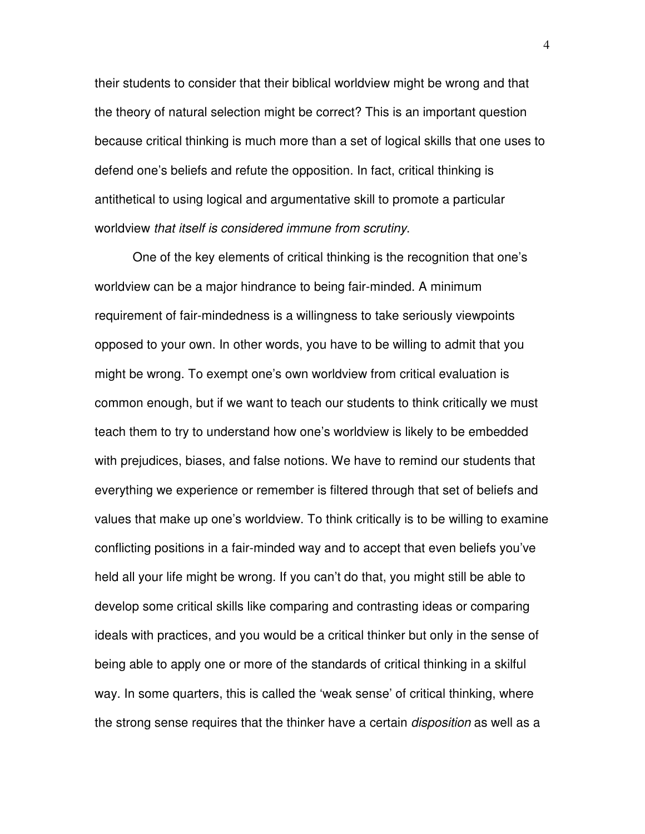their students to consider that their biblical worldview might be wrong and that the theory of natural selection might be correct? This is an important question because critical thinking is much more than a set of logical skills that one uses to defend one's beliefs and refute the opposition. In fact, critical thinking is antithetical to using logical and argumentative skill to promote a particular worldview *that itself is considered immune from scrutiny*.

One of the key elements of critical thinking is the recognition that one's worldview can be a major hindrance to being fair-minded. A minimum requirement of fair-mindedness is a willingness to take seriously viewpoints opposed to your own. In other words, you have to be willing to admit that you might be wrong. To exempt one's own worldview from critical evaluation is common enough, but if we want to teach our students to think critically we must teach them to try to understand how one's worldview is likely to be embedded with prejudices, biases, and false notions. We have to remind our students that everything we experience or remember is filtered through that set of beliefs and values that make up one's worldview. To think critically is to be willing to examine conflicting positions in a fair-minded way and to accept that even beliefs you've held all your life might be wrong. If you can't do that, you might still be able to develop some critical skills like comparing and contrasting ideas or comparing ideals with practices, and you would be a critical thinker but only in the sense of being able to apply one or more of the standards of critical thinking in a skilful way. In some quarters, this is called the 'weak sense' of critical thinking, where the strong sense requires that the thinker have a certain *disposition* as well as a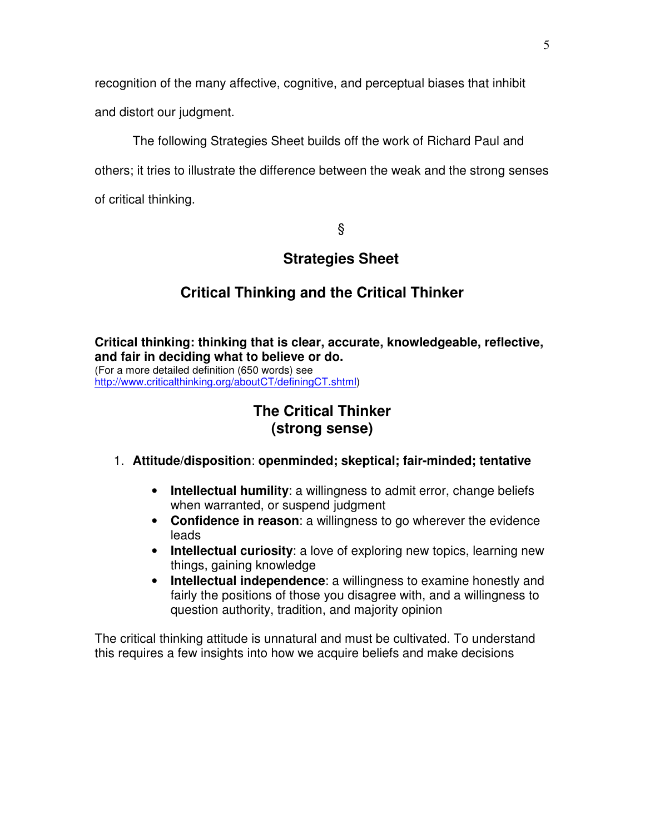recognition of the many affective, cognitive, and perceptual biases that inhibit and distort our judgment.

The following Strategies Sheet builds off the work of Richard Paul and others; it tries to illustrate the difference between the weak and the strong senses of critical thinking.

§

# **Strategies Sheet**

# **Critical Thinking and the Critical Thinker**

**Critical thinking: thinking that is clear, accurate, knowledgeable, reflective, and fair in deciding what to believe or do.**

(For a more detailed definition (650 words) see http://www.criticalthinking.org/aboutCT/definingCT.shtml)

# **The Critical Thinker (strong sense)**

## 1. **Attitude/disposition**: **openminded; skeptical; fair-minded; tentative**

- **Intellectual humility**: a willingness to admit error, change beliefs when warranted, or suspend judgment
- **Confidence in reason**: a willingness to go wherever the evidence leads
- **Intellectual curiosity**: a love of exploring new topics, learning new things, gaining knowledge
- **Intellectual independence**: a willingness to examine honestly and fairly the positions of those you disagree with, and a willingness to question authority, tradition, and majority opinion

The critical thinking attitude is unnatural and must be cultivated. To understand this requires a few insights into how we acquire beliefs and make decisions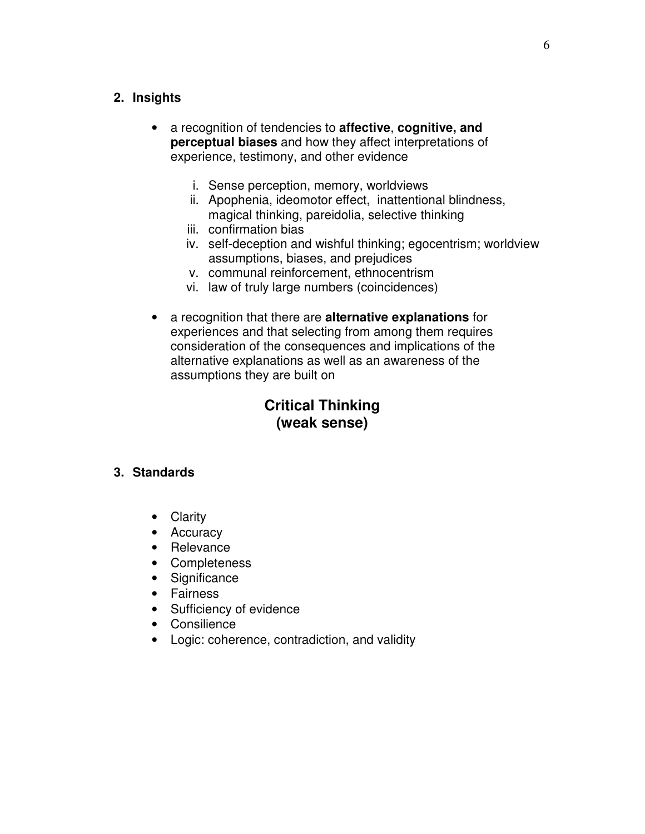## **2. Insights**

- a recognition of tendencies to **affective**, **cognitive, and perceptual biases** and how they affect interpretations of experience, testimony, and other evidence
	- i. Sense perception, memory, worldviews
	- ii. Apophenia, ideomotor effect, inattentional blindness, magical thinking, pareidolia, selective thinking
	- iii. confirmation bias
	- iv. self-deception and wishful thinking; egocentrism; worldview assumptions, biases, and prejudices
	- v. communal reinforcement, ethnocentrism
	- vi. law of truly large numbers (coincidences)
- a recognition that there are **alternative explanations** for experiences and that selecting from among them requires consideration of the consequences and implications of the alternative explanations as well as an awareness of the assumptions they are built on

# **Critical Thinking (weak sense)**

## **3. Standards**

- Clarity
- Accuracy
- Relevance
- Completeness
- Significance
- Fairness
- Sufficiency of evidence
- Consilience
- Logic: coherence, contradiction, and validity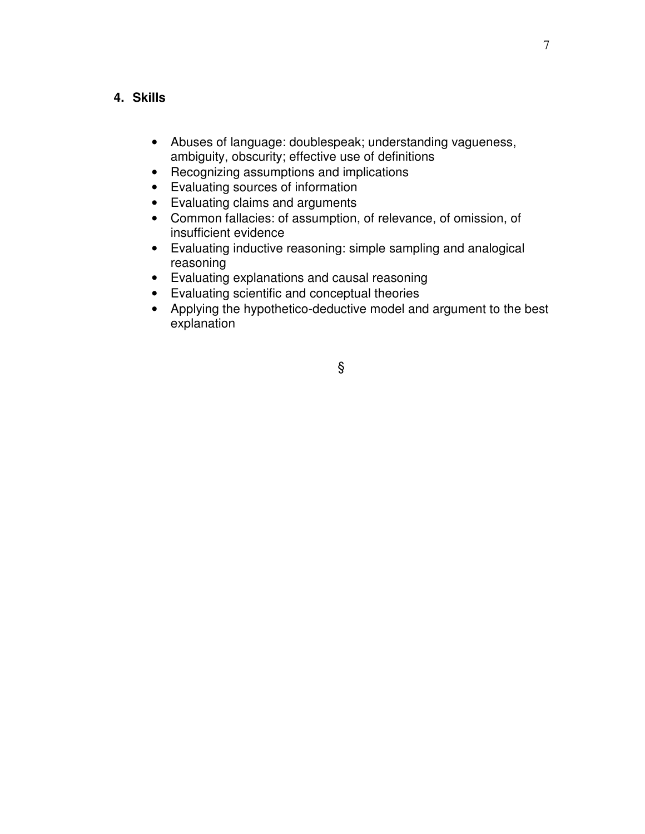### **4. Skills**

- Abuses of language: doublespeak; understanding vagueness, ambiguity, obscurity; effective use of definitions
- Recognizing assumptions and implications
- Evaluating sources of information
- Evaluating claims and arguments
- Common fallacies: of assumption, of relevance, of omission, of insufficient evidence
- Evaluating inductive reasoning: simple sampling and analogical reasoning
- Evaluating explanations and causal reasoning
- Evaluating scientific and conceptual theories
- Applying the hypothetico-deductive model and argument to the best explanation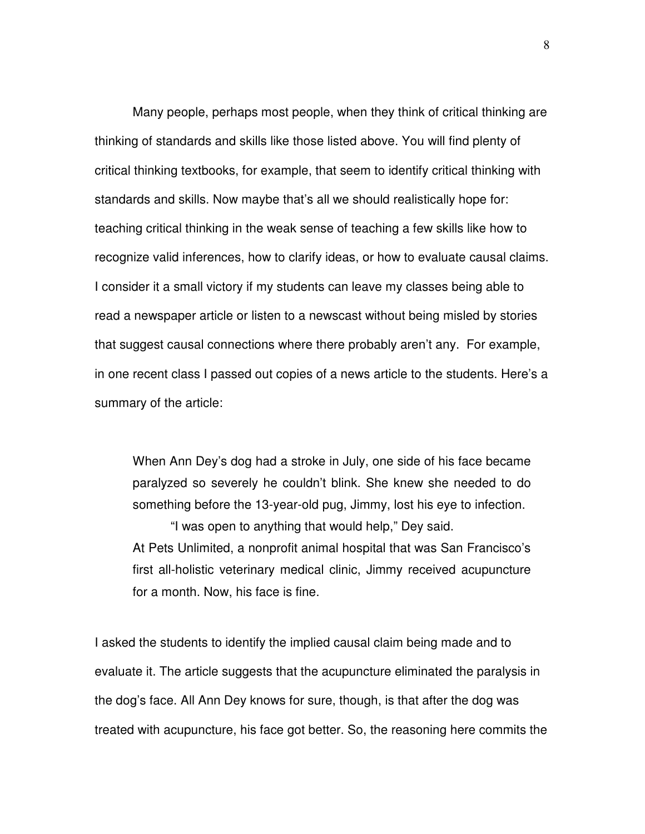Many people, perhaps most people, when they think of critical thinking are thinking of standards and skills like those listed above. You will find plenty of critical thinking textbooks, for example, that seem to identify critical thinking with standards and skills. Now maybe that's all we should realistically hope for: teaching critical thinking in the weak sense of teaching a few skills like how to recognize valid inferences, how to clarify ideas, or how to evaluate causal claims. I consider it a small victory if my students can leave my classes being able to read a newspaper article or listen to a newscast without being misled by stories that suggest causal connections where there probably aren't any. For example, in one recent class I passed out copies of a news article to the students. Here's a summary of the article:

When Ann Dey's dog had a stroke in July, one side of his face became paralyzed so severely he couldn't blink. She knew she needed to do something before the 13-year-old pug, Jimmy, lost his eye to infection.

"I was open to anything that would help," Dey said. At Pets Unlimited, a nonprofit animal hospital that was San Francisco's first all-holistic veterinary medical clinic, Jimmy received acupuncture for a month. Now, his face is fine.

I asked the students to identify the implied causal claim being made and to evaluate it. The article suggests that the acupuncture eliminated the paralysis in the dog's face. All Ann Dey knows for sure, though, is that after the dog was treated with acupuncture, his face got better. So, the reasoning here commits the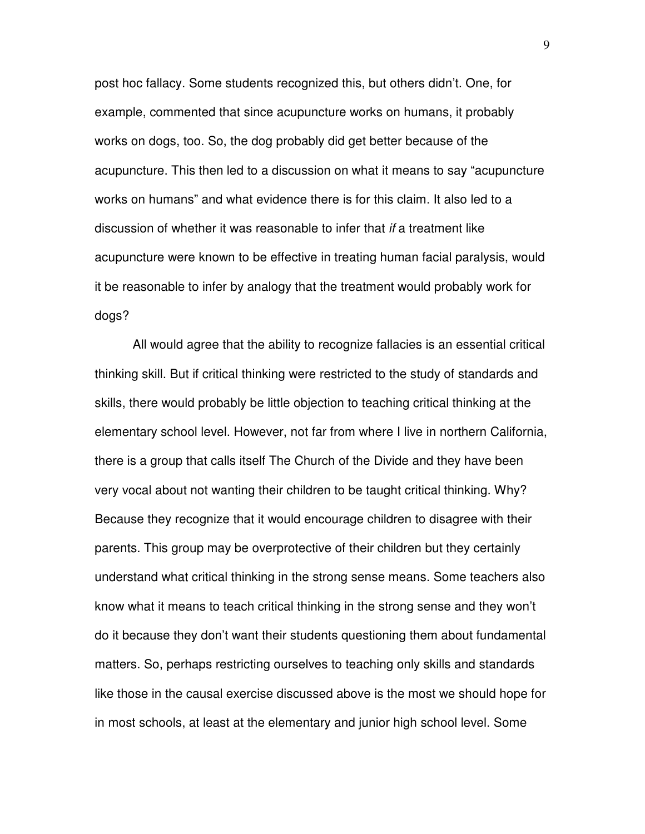post hoc fallacy. Some students recognized this, but others didn't. One, for example, commented that since acupuncture works on humans, it probably works on dogs, too. So, the dog probably did get better because of the acupuncture. This then led to a discussion on what it means to say "acupuncture works on humans" and what evidence there is for this claim. It also led to a discussion of whether it was reasonable to infer that *if* a treatment like acupuncture were known to be effective in treating human facial paralysis, would it be reasonable to infer by analogy that the treatment would probably work for dogs?

All would agree that the ability to recognize fallacies is an essential critical thinking skill. But if critical thinking were restricted to the study of standards and skills, there would probably be little objection to teaching critical thinking at the elementary school level. However, not far from where I live in northern California, there is a group that calls itself The Church of the Divide and they have been very vocal about not wanting their children to be taught critical thinking. Why? Because they recognize that it would encourage children to disagree with their parents. This group may be overprotective of their children but they certainly understand what critical thinking in the strong sense means. Some teachers also know what it means to teach critical thinking in the strong sense and they won't do it because they don't want their students questioning them about fundamental matters. So, perhaps restricting ourselves to teaching only skills and standards like those in the causal exercise discussed above is the most we should hope for in most schools, at least at the elementary and junior high school level. Some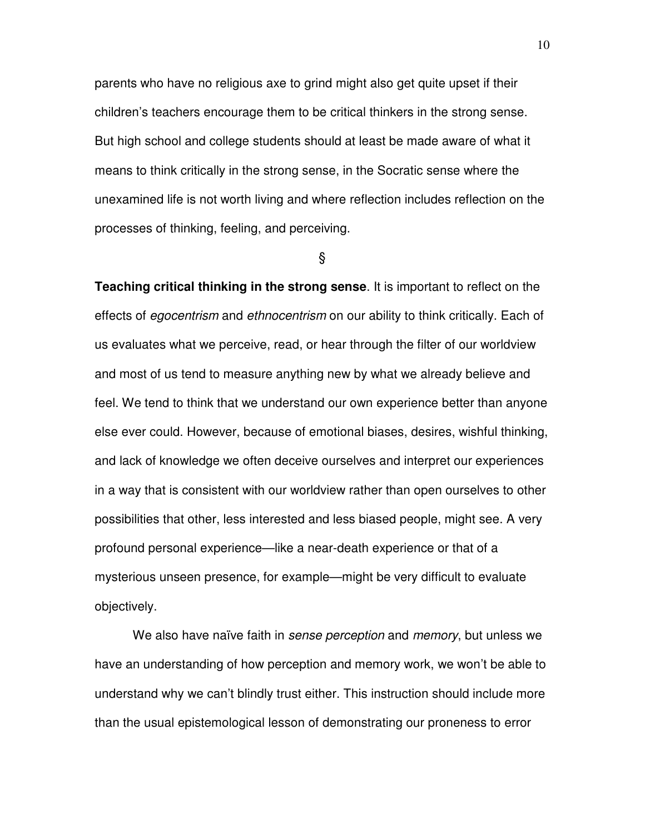parents who have no religious axe to grind might also get quite upset if their children's teachers encourage them to be critical thinkers in the strong sense. But high school and college students should at least be made aware of what it means to think critically in the strong sense, in the Socratic sense where the unexamined life is not worth living and where reflection includes reflection on the processes of thinking, feeling, and perceiving.

§

**Teaching critical thinking in the strong sense**. It is important to reflect on the effects of *egocentrism* and *ethnocentrism* on our ability to think critically. Each of us evaluates what we perceive, read, or hear through the filter of our worldview and most of us tend to measure anything new by what we already believe and feel. We tend to think that we understand our own experience better than anyone else ever could. However, because of emotional biases, desires, wishful thinking, and lack of knowledge we often deceive ourselves and interpret our experiences in a way that is consistent with our worldview rather than open ourselves to other possibilities that other, less interested and less biased people, might see. A very profound personal experience—like a near-death experience or that of a mysterious unseen presence, for example—might be very difficult to evaluate objectively.

We also have naïve faith in *sense perception* and *memory*, but unless we have an understanding of how perception and memory work, we won't be able to understand why we can't blindly trust either. This instruction should include more than the usual epistemological lesson of demonstrating our proneness to error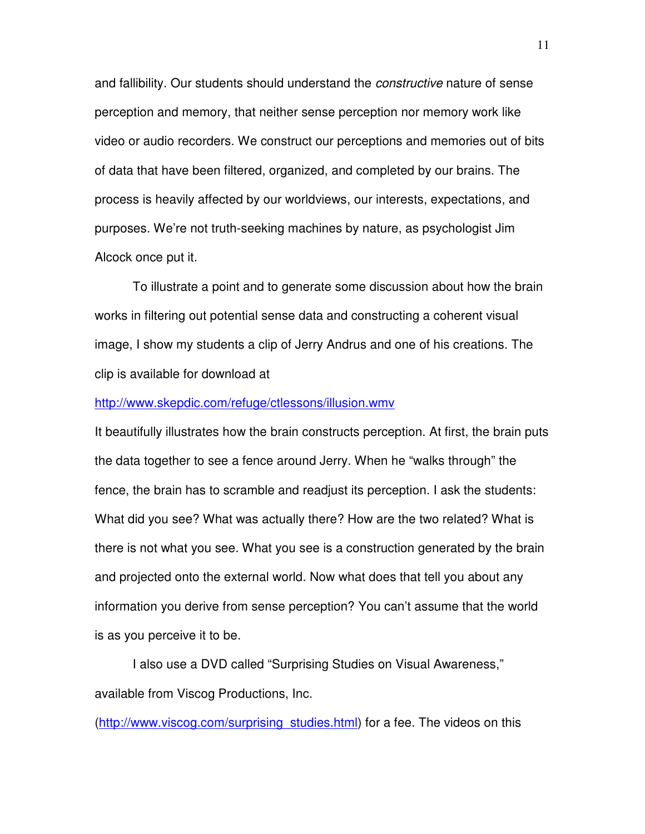and fallibility. Our students should understand the *constructive* nature of sense perception and memory, that neither sense perception nor memory work like video or audio recorders. We construct our perceptions and memories out of bits of data that have been filtered, organized, and completed by our brains. The process is heavily affected by our worldviews, our interests, expectations, and purposes. We're not truth-seeking machines by nature, as psychologist Jim Alcock once put it.

To illustrate a point and to generate some discussion about how the brain works in filtering out potential sense data and constructing a coherent visual image, I show my students a clip of Jerry Andrus and one of his creations. The clip is available for download at

#### http://www.skepdic.com/refuge/ctlessons/illusion.wmv

It beautifully illustrates how the brain constructs perception. At first, the brain puts the data together to see a fence around Jerry. When he "walks through" the fence, the brain has to scramble and readjust its perception. I ask the students: What did you see? What was actually there? How are the two related? What is there is not what you see. What you see is a construction generated by the brain and projected onto the external world. Now what does that tell you about any information you derive from sense perception? You can't assume that the world is as you perceive it to be.

I also use a DVD called "Surprising Studies on Visual Awareness," available from Viscog Productions, Inc.

(http://www.viscog.com/surprising\_studies.html) for a fee. The videos on this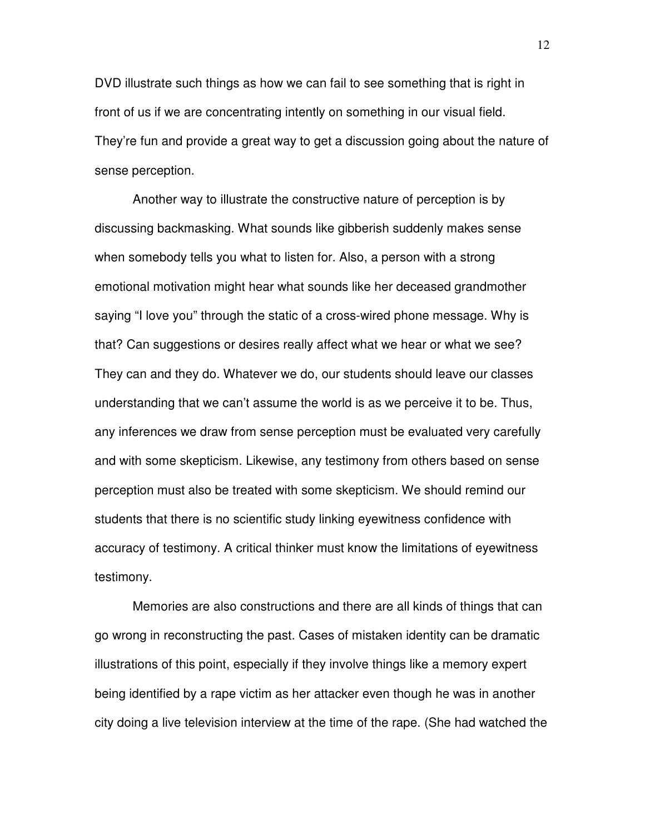DVD illustrate such things as how we can fail to see something that is right in front of us if we are concentrating intently on something in our visual field. They're fun and provide a great way to get a discussion going about the nature of sense perception.

Another way to illustrate the constructive nature of perception is by discussing backmasking. What sounds like gibberish suddenly makes sense when somebody tells you what to listen for. Also, a person with a strong emotional motivation might hear what sounds like her deceased grandmother saying "I love you" through the static of a cross-wired phone message. Why is that? Can suggestions or desires really affect what we hear or what we see? They can and they do. Whatever we do, our students should leave our classes understanding that we can't assume the world is as we perceive it to be. Thus, any inferences we draw from sense perception must be evaluated very carefully and with some skepticism. Likewise, any testimony from others based on sense perception must also be treated with some skepticism. We should remind our students that there is no scientific study linking eyewitness confidence with accuracy of testimony. A critical thinker must know the limitations of eyewitness testimony.

Memories are also constructions and there are all kinds of things that can go wrong in reconstructing the past. Cases of mistaken identity can be dramatic illustrations of this point, especially if they involve things like a memory expert being identified by a rape victim as her attacker even though he was in another city doing a live television interview at the time of the rape. (She had watched the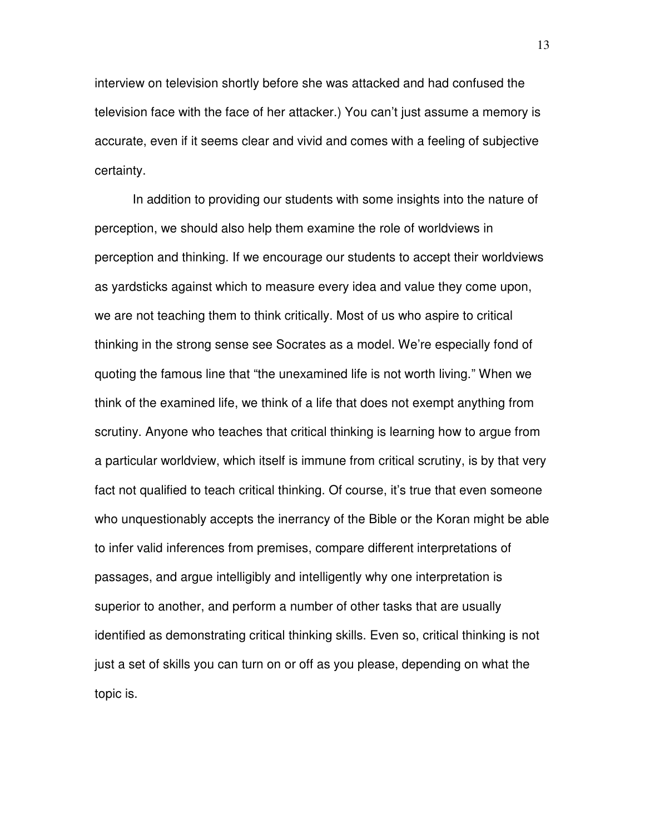interview on television shortly before she was attacked and had confused the television face with the face of her attacker.) You can't just assume a memory is accurate, even if it seems clear and vivid and comes with a feeling of subjective certainty.

In addition to providing our students with some insights into the nature of perception, we should also help them examine the role of worldviews in perception and thinking. If we encourage our students to accept their worldviews as yardsticks against which to measure every idea and value they come upon, we are not teaching them to think critically. Most of us who aspire to critical thinking in the strong sense see Socrates as a model. We're especially fond of quoting the famous line that "the unexamined life is not worth living." When we think of the examined life, we think of a life that does not exempt anything from scrutiny. Anyone who teaches that critical thinking is learning how to argue from a particular worldview, which itself is immune from critical scrutiny, is by that very fact not qualified to teach critical thinking. Of course, it's true that even someone who unquestionably accepts the inerrancy of the Bible or the Koran might be able to infer valid inferences from premises, compare different interpretations of passages, and argue intelligibly and intelligently why one interpretation is superior to another, and perform a number of other tasks that are usually identified as demonstrating critical thinking skills. Even so, critical thinking is not just a set of skills you can turn on or off as you please, depending on what the topic is.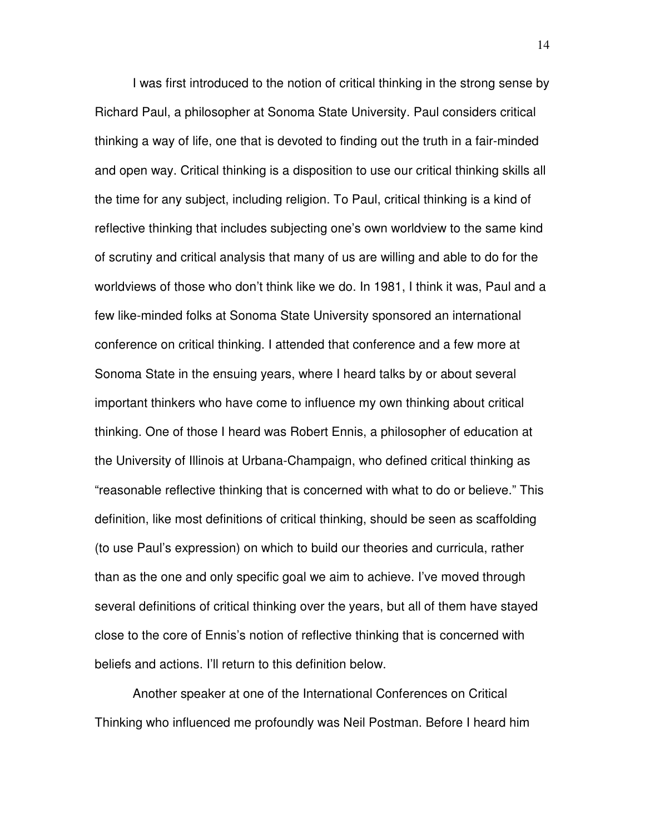I was first introduced to the notion of critical thinking in the strong sense by Richard Paul, a philosopher at Sonoma State University. Paul considers critical thinking a way of life, one that is devoted to finding out the truth in a fair-minded and open way. Critical thinking is a disposition to use our critical thinking skills all the time for any subject, including religion. To Paul, critical thinking is a kind of reflective thinking that includes subjecting one's own worldview to the same kind of scrutiny and critical analysis that many of us are willing and able to do for the worldviews of those who don't think like we do. In 1981, I think it was, Paul and a few like-minded folks at Sonoma State University sponsored an international conference on critical thinking. I attended that conference and a few more at Sonoma State in the ensuing years, where I heard talks by or about several important thinkers who have come to influence my own thinking about critical thinking. One of those I heard was Robert Ennis, a philosopher of education at the University of Illinois at Urbana-Champaign, who defined critical thinking as "reasonable reflective thinking that is concerned with what to do or believe." This definition, like most definitions of critical thinking, should be seen as scaffolding (to use Paul's expression) on which to build our theories and curricula, rather than as the one and only specific goal we aim to achieve. I've moved through several definitions of critical thinking over the years, but all of them have stayed close to the core of Ennis's notion of reflective thinking that is concerned with beliefs and actions. I'll return to this definition below.

Another speaker at one of the International Conferences on Critical Thinking who influenced me profoundly was Neil Postman. Before I heard him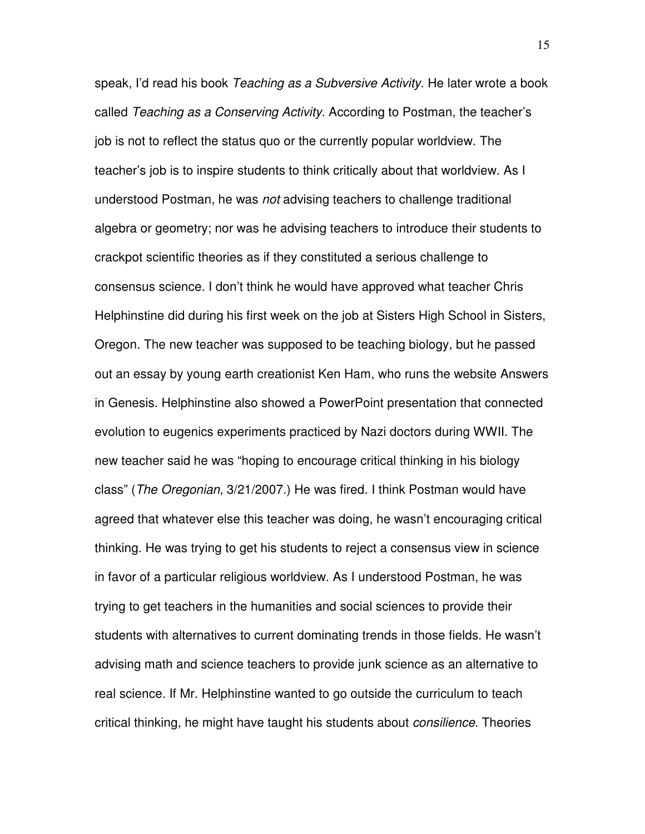speak, I'd read his book *Teaching as a Subversive Activity*. He later wrote a book called *Teaching as a Conserving Activity*. According to Postman, the teacher's job is not to reflect the status quo or the currently popular worldview. The teacher's job is to inspire students to think critically about that worldview. As I understood Postman, he was *not* advising teachers to challenge traditional algebra or geometry; nor was he advising teachers to introduce their students to crackpot scientific theories as if they constituted a serious challenge to consensus science. I don't think he would have approved what teacher Chris Helphinstine did during his first week on the job at Sisters High School in Sisters, Oregon. The new teacher was supposed to be teaching biology, but he passed out an essay by young earth creationist Ken Ham, who runs the website Answers in Genesis. Helphinstine also showed a PowerPoint presentation that connected evolution to eugenics experiments practiced by Nazi doctors during WWII. The new teacher said he was "hoping to encourage critical thinking in his biology class" (*The Oregonian*, 3/21/2007.) He was fired. I think Postman would have agreed that whatever else this teacher was doing, he wasn't encouraging critical thinking. He was trying to get his students to reject a consensus view in science in favor of a particular religious worldview. As I understood Postman, he was trying to get teachers in the humanities and social sciences to provide their students with alternatives to current dominating trends in those fields. He wasn't advising math and science teachers to provide junk science as an alternative to real science. If Mr. Helphinstine wanted to go outside the curriculum to teach critical thinking, he might have taught his students about *consilience*. Theories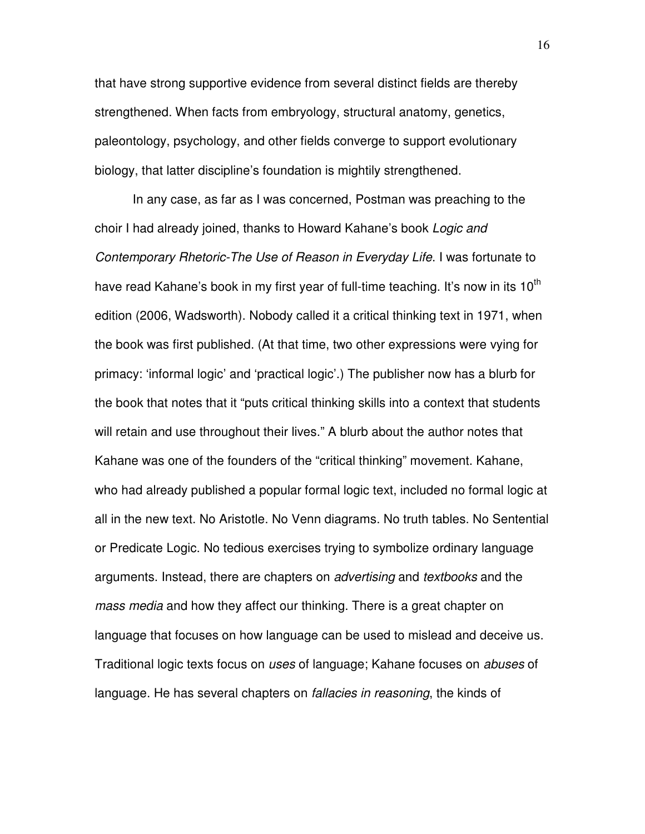that have strong supportive evidence from several distinct fields are thereby strengthened. When facts from embryology, structural anatomy, genetics, paleontology, psychology, and other fields converge to support evolutionary biology, that latter discipline's foundation is mightily strengthened.

In any case, as far as I was concerned, Postman was preaching to the choir I had already joined, thanks to Howard Kahane's book *Logic and Contemporary Rhetoric-The Use of Reason in Everyday Life*. I was fortunate to have read Kahane's book in my first year of full-time teaching. It's now in its 10<sup>th</sup> edition (2006, Wadsworth). Nobody called it a critical thinking text in 1971, when the book was first published. (At that time, two other expressions were vying for primacy: 'informal logic' and 'practical logic'.) The publisher now has a blurb for the book that notes that it "puts critical thinking skills into a context that students will retain and use throughout their lives." A blurb about the author notes that Kahane was one of the founders of the "critical thinking" movement. Kahane, who had already published a popular formal logic text, included no formal logic at all in the new text. No Aristotle. No Venn diagrams. No truth tables. No Sentential or Predicate Logic. No tedious exercises trying to symbolize ordinary language arguments. Instead, there are chapters on *advertising* and *textbooks* and the *mass media* and how they affect our thinking. There is a great chapter on language that focuses on how language can be used to mislead and deceive us. Traditional logic texts focus on *uses* of language; Kahane focuses on *abuses* of language. He has several chapters on *fallacies in reasoning*, the kinds of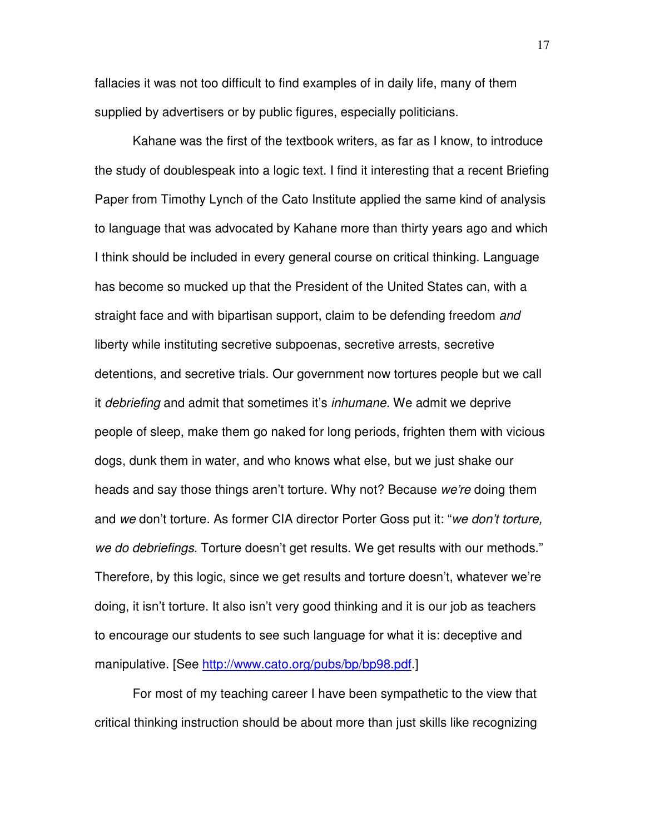fallacies it was not too difficult to find examples of in daily life, many of them supplied by advertisers or by public figures, especially politicians.

Kahane was the first of the textbook writers, as far as I know, to introduce the study of doublespeak into a logic text. I find it interesting that a recent Briefing Paper from Timothy Lynch of the Cato Institute applied the same kind of analysis to language that was advocated by Kahane more than thirty years ago and which I think should be included in every general course on critical thinking. Language has become so mucked up that the President of the United States can, with a straight face and with bipartisan support, claim to be defending freedom *and* liberty while instituting secretive subpoenas, secretive arrests, secretive detentions, and secretive trials. Our government now tortures people but we call it *debriefing* and admit that sometimes it's *inhumane.* We admit we deprive people of sleep, make them go naked for long periods, frighten them with vicious dogs, dunk them in water, and who knows what else, but we just shake our heads and say those things aren't torture. Why not? Because *we're* doing them and *we* don't torture. As former CIA director Porter Goss put it: "*we don't torture, we do debriefings*. Torture doesn't get results. We get results with our methods." Therefore, by this logic, since we get results and torture doesn't, whatever we're doing, it isn't torture. It also isn't very good thinking and it is our job as teachers to encourage our students to see such language for what it is: deceptive and manipulative. [See http://www.cato.org/pubs/bp/bp98.pdf.]

For most of my teaching career I have been sympathetic to the view that critical thinking instruction should be about more than just skills like recognizing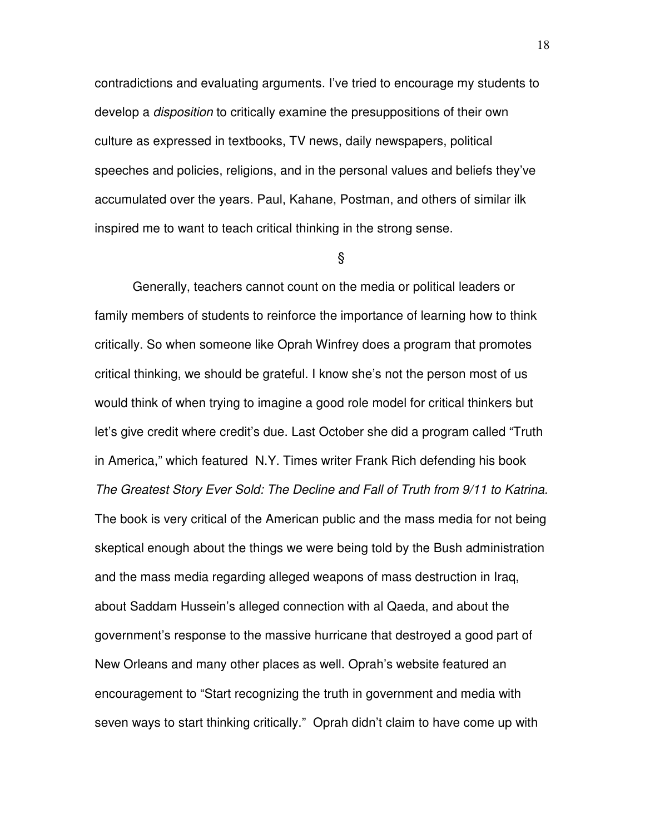contradictions and evaluating arguments. I've tried to encourage my students to develop a *disposition* to critically examine the presuppositions of their own culture as expressed in textbooks, TV news, daily newspapers, political speeches and policies, religions, and in the personal values and beliefs they've accumulated over the years. Paul, Kahane, Postman, and others of similar ilk inspired me to want to teach critical thinking in the strong sense.

§

Generally, teachers cannot count on the media or political leaders or family members of students to reinforce the importance of learning how to think critically. So when someone like Oprah Winfrey does a program that promotes critical thinking, we should be grateful. I know she's not the person most of us would think of when trying to imagine a good role model for critical thinkers but let's give credit where credit's due. Last October she did a program called "Truth in America," which featured N.Y. Times writer Frank Rich defending his book *The Greatest Story Ever Sold: The Decline and Fall of Truth from 9/11 to Katrina.* The book is very critical of the American public and the mass media for not being skeptical enough about the things we were being told by the Bush administration and the mass media regarding alleged weapons of mass destruction in Iraq, about Saddam Hussein's alleged connection with al Qaeda, and about the government's response to the massive hurricane that destroyed a good part of New Orleans and many other places as well. Oprah's website featured an encouragement to "Start recognizing the truth in government and media with seven ways to start thinking critically." Oprah didn't claim to have come up with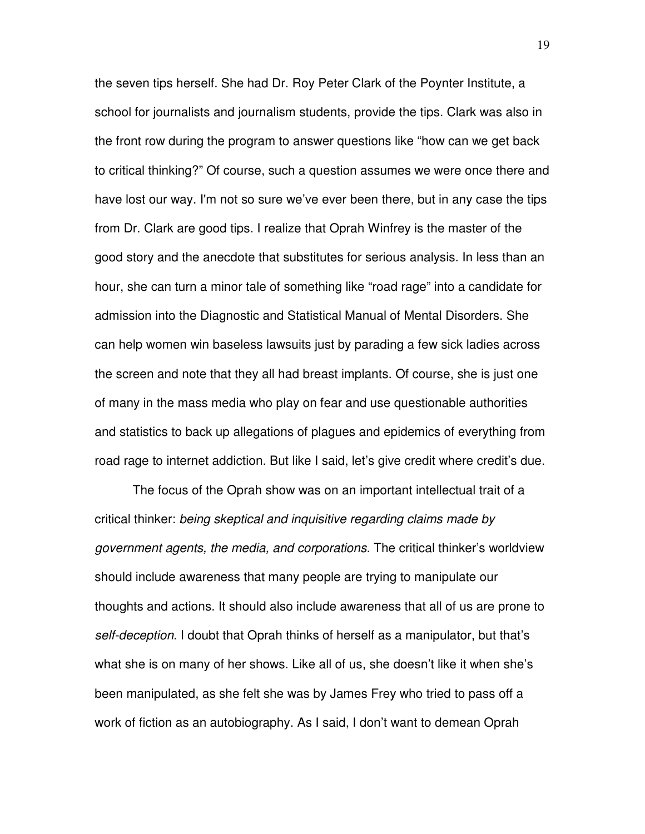the seven tips herself. She had Dr. Roy Peter Clark of the Poynter Institute, a school for journalists and journalism students, provide the tips. Clark was also in the front row during the program to answer questions like "how can we get back to critical thinking?" Of course, such a question assumes we were once there and have lost our way. I'm not so sure we've ever been there, but in any case the tips from Dr. Clark are good tips. I realize that Oprah Winfrey is the master of the good story and the anecdote that substitutes for serious analysis. In less than an hour, she can turn a minor tale of something like "road rage" into a candidate for admission into the Diagnostic and Statistical Manual of Mental Disorders. She can help women win baseless lawsuits just by parading a few sick ladies across the screen and note that they all had breast implants. Of course, she is just one of many in the mass media who play on fear and use questionable authorities and statistics to back up allegations of plagues and epidemics of everything from road rage to internet addiction. But like I said, let's give credit where credit's due.

The focus of the Oprah show was on an important intellectual trait of a critical thinker: *being skeptical and inquisitive regarding claims made by government agents, the media, and corporations*. The critical thinker's worldview should include awareness that many people are trying to manipulate our thoughts and actions. It should also include awareness that all of us are prone to *self-deception*. I doubt that Oprah thinks of herself as a manipulator, but that's what she is on many of her shows. Like all of us, she doesn't like it when she's been manipulated, as she felt she was by James Frey who tried to pass off a work of fiction as an autobiography. As I said, I don't want to demean Oprah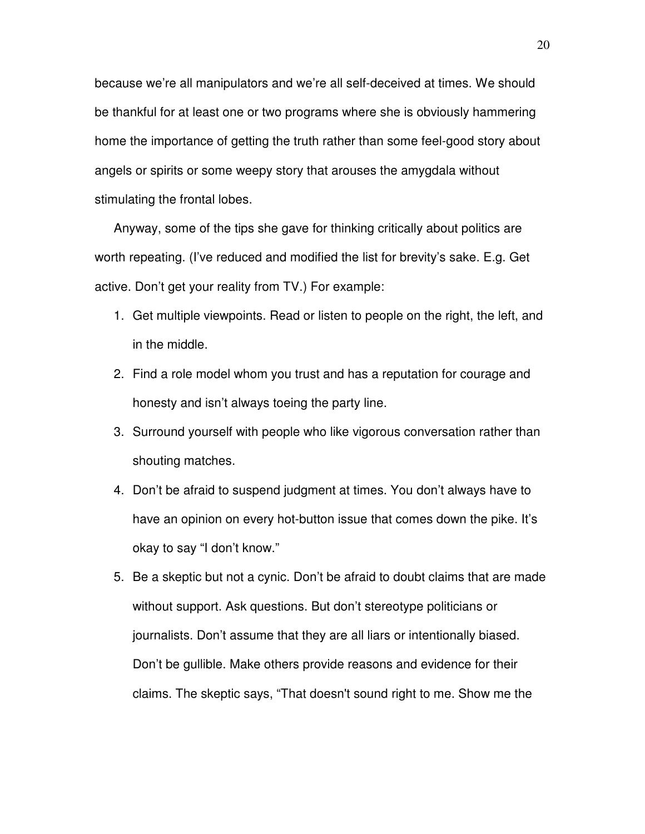because we're all manipulators and we're all self-deceived at times. We should be thankful for at least one or two programs where she is obviously hammering home the importance of getting the truth rather than some feel-good story about angels or spirits or some weepy story that arouses the amygdala without stimulating the frontal lobes.

Anyway, some of the tips she gave for thinking critically about politics are worth repeating. (I've reduced and modified the list for brevity's sake. E.g. Get active. Don't get your reality from TV.) For example:

- 1. Get multiple viewpoints. Read or listen to people on the right, the left, and in the middle.
- 2. Find a role model whom you trust and has a reputation for courage and honesty and isn't always toeing the party line.
- 3. Surround yourself with people who like vigorous conversation rather than shouting matches.
- 4. Don't be afraid to suspend judgment at times. You don't always have to have an opinion on every hot-button issue that comes down the pike. It's okay to say "I don't know."
- 5. Be a skeptic but not a cynic. Don't be afraid to doubt claims that are made without support. Ask questions. But don't stereotype politicians or journalists. Don't assume that they are all liars or intentionally biased. Don't be gullible. Make others provide reasons and evidence for their claims. The skeptic says, "That doesn't sound right to me. Show me the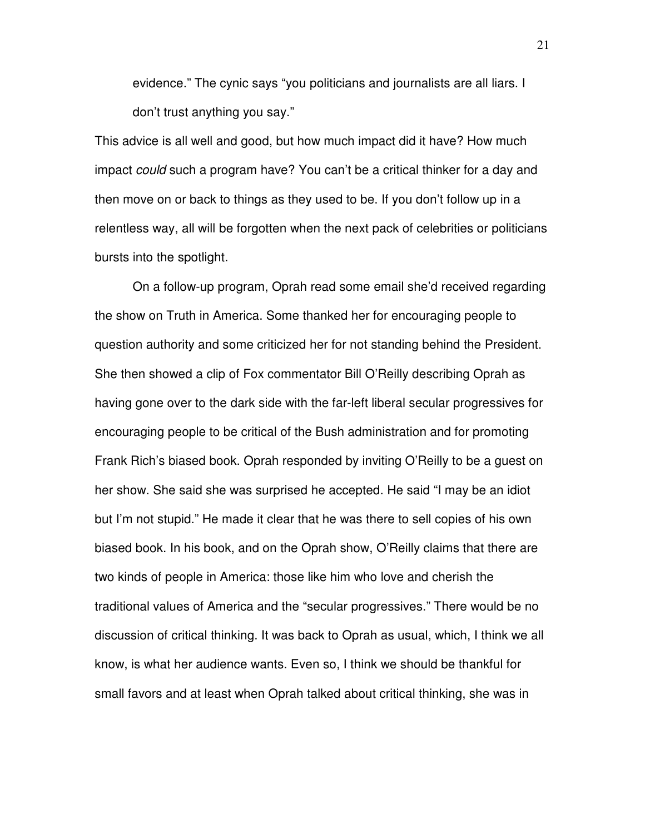evidence." The cynic says "you politicians and journalists are all liars. I don't trust anything you say."

This advice is all well and good, but how much impact did it have? How much impact *could* such a program have? You can't be a critical thinker for a day and then move on or back to things as they used to be. If you don't follow up in a relentless way, all will be forgotten when the next pack of celebrities or politicians bursts into the spotlight.

On a follow-up program, Oprah read some email she'd received regarding the show on Truth in America. Some thanked her for encouraging people to question authority and some criticized her for not standing behind the President. She then showed a clip of Fox commentator Bill O'Reilly describing Oprah as having gone over to the dark side with the far-left liberal secular progressives for encouraging people to be critical of the Bush administration and for promoting Frank Rich's biased book. Oprah responded by inviting O'Reilly to be a guest on her show. She said she was surprised he accepted. He said "I may be an idiot but I'm not stupid." He made it clear that he was there to sell copies of his own biased book. In his book, and on the Oprah show, O'Reilly claims that there are two kinds of people in America: those like him who love and cherish the traditional values of America and the "secular progressives." There would be no discussion of critical thinking. It was back to Oprah as usual, which, I think we all know, is what her audience wants. Even so, I think we should be thankful for small favors and at least when Oprah talked about critical thinking, she was in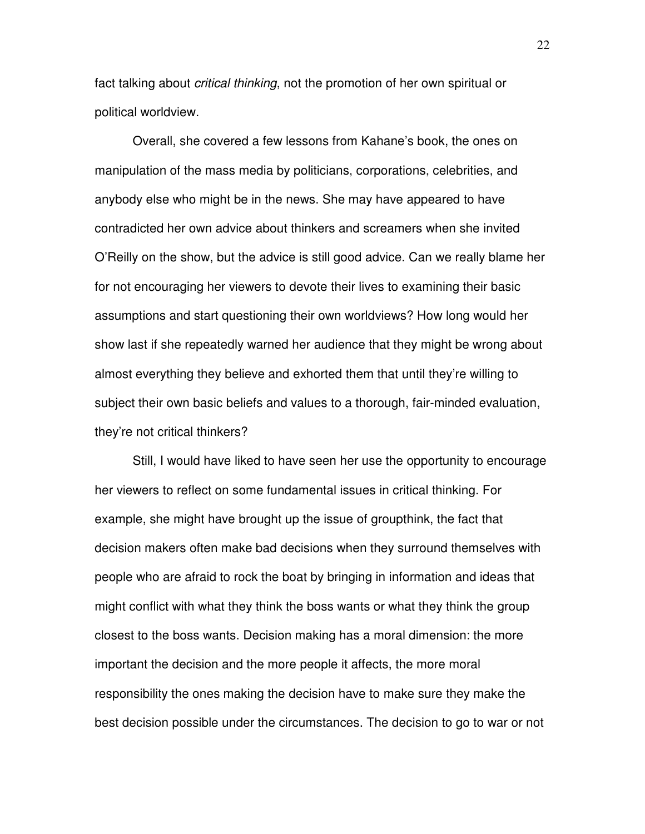fact talking about *critical thinking*, not the promotion of her own spiritual or political worldview.

Overall, she covered a few lessons from Kahane's book, the ones on manipulation of the mass media by politicians, corporations, celebrities, and anybody else who might be in the news. She may have appeared to have contradicted her own advice about thinkers and screamers when she invited O'Reilly on the show, but the advice is still good advice. Can we really blame her for not encouraging her viewers to devote their lives to examining their basic assumptions and start questioning their own worldviews? How long would her show last if she repeatedly warned her audience that they might be wrong about almost everything they believe and exhorted them that until they're willing to subject their own basic beliefs and values to a thorough, fair-minded evaluation, they're not critical thinkers?

Still, I would have liked to have seen her use the opportunity to encourage her viewers to reflect on some fundamental issues in critical thinking. For example, she might have brought up the issue of groupthink, the fact that decision makers often make bad decisions when they surround themselves with people who are afraid to rock the boat by bringing in information and ideas that might conflict with what they think the boss wants or what they think the group closest to the boss wants. Decision making has a moral dimension: the more important the decision and the more people it affects, the more moral responsibility the ones making the decision have to make sure they make the best decision possible under the circumstances. The decision to go to war or not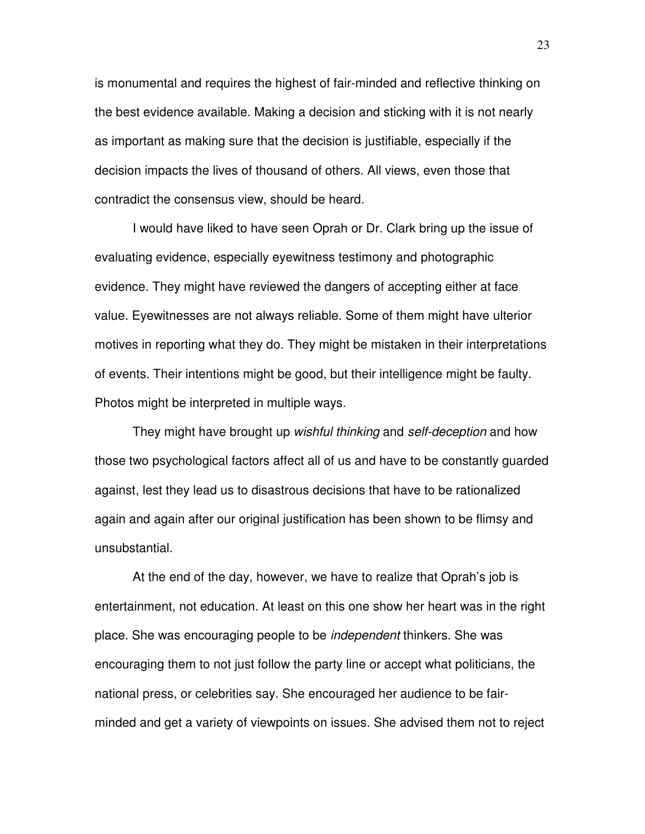is monumental and requires the highest of fair-minded and reflective thinking on the best evidence available. Making a decision and sticking with it is not nearly as important as making sure that the decision is justifiable, especially if the decision impacts the lives of thousand of others. All views, even those that contradict the consensus view, should be heard.

I would have liked to have seen Oprah or Dr. Clark bring up the issue of evaluating evidence, especially eyewitness testimony and photographic evidence. They might have reviewed the dangers of accepting either at face value. Eyewitnesses are not always reliable. Some of them might have ulterior motives in reporting what they do. They might be mistaken in their interpretations of events. Their intentions might be good, but their intelligence might be faulty. Photos might be interpreted in multiple ways.

They might have brought up *wishful thinking* and *self-deception* and how those two psychological factors affect all of us and have to be constantly guarded against, lest they lead us to disastrous decisions that have to be rationalized again and again after our original justification has been shown to be flimsy and unsubstantial.

At the end of the day, however, we have to realize that Oprah's job is entertainment, not education. At least on this one show her heart was in the right place. She was encouraging people to be *independent* thinkers. She was encouraging them to not just follow the party line or accept what politicians, the national press, or celebrities say. She encouraged her audience to be fairminded and get a variety of viewpoints on issues. She advised them not to reject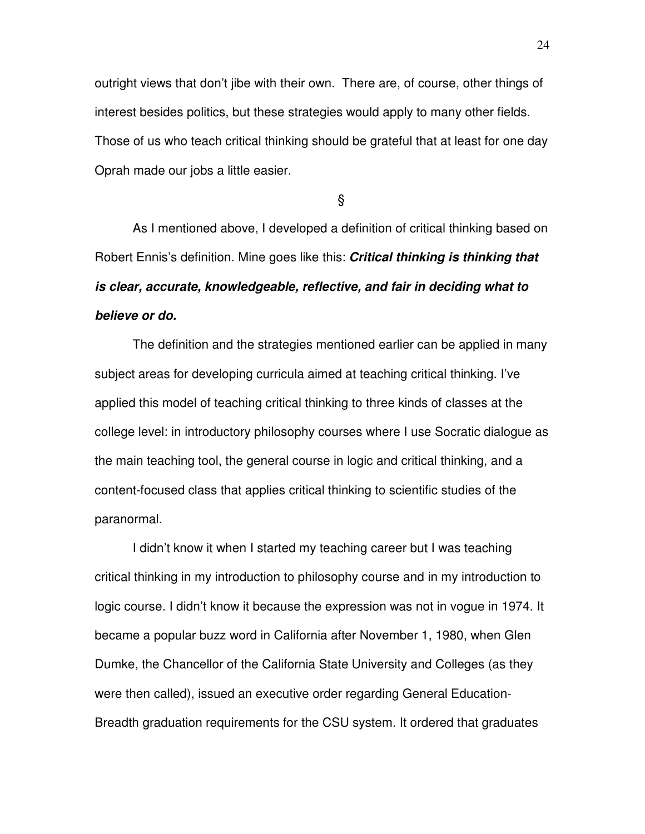outright views that don't jibe with their own. There are, of course, other things of interest besides politics, but these strategies would apply to many other fields. Those of us who teach critical thinking should be grateful that at least for one day Oprah made our jobs a little easier.

§

As I mentioned above, I developed a definition of critical thinking based on Robert Ennis's definition. Mine goes like this: *Critical thinking is thinking that is clear, accurate, knowledgeable, reflective, and fair in deciding what to believe or do.*

The definition and the strategies mentioned earlier can be applied in many subject areas for developing curricula aimed at teaching critical thinking. I've applied this model of teaching critical thinking to three kinds of classes at the college level: in introductory philosophy courses where I use Socratic dialogue as the main teaching tool, the general course in logic and critical thinking, and a content-focused class that applies critical thinking to scientific studies of the paranormal.

I didn't know it when I started my teaching career but I was teaching critical thinking in my introduction to philosophy course and in my introduction to logic course. I didn't know it because the expression was not in vogue in 1974. It became a popular buzz word in California after November 1, 1980, when Glen Dumke, the Chancellor of the California State University and Colleges (as they were then called), issued an executive order regarding General Education-Breadth graduation requirements for the CSU system. It ordered that graduates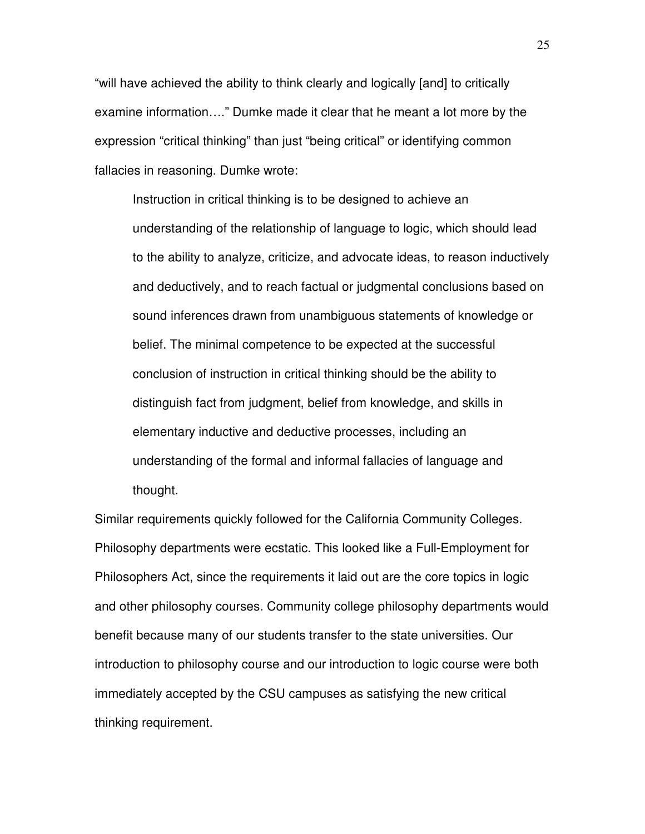"will have achieved the ability to think clearly and logically [and] to critically examine information…." Dumke made it clear that he meant a lot more by the expression "critical thinking" than just "being critical" or identifying common fallacies in reasoning. Dumke wrote:

Instruction in critical thinking is to be designed to achieve an understanding of the relationship of language to logic, which should lead to the ability to analyze, criticize, and advocate ideas, to reason inductively and deductively, and to reach factual or judgmental conclusions based on sound inferences drawn from unambiguous statements of knowledge or belief. The minimal competence to be expected at the successful conclusion of instruction in critical thinking should be the ability to distinguish fact from judgment, belief from knowledge, and skills in elementary inductive and deductive processes, including an understanding of the formal and informal fallacies of language and thought.

Similar requirements quickly followed for the California Community Colleges. Philosophy departments were ecstatic. This looked like a Full-Employment for Philosophers Act, since the requirements it laid out are the core topics in logic and other philosophy courses. Community college philosophy departments would benefit because many of our students transfer to the state universities. Our introduction to philosophy course and our introduction to logic course were both immediately accepted by the CSU campuses as satisfying the new critical thinking requirement.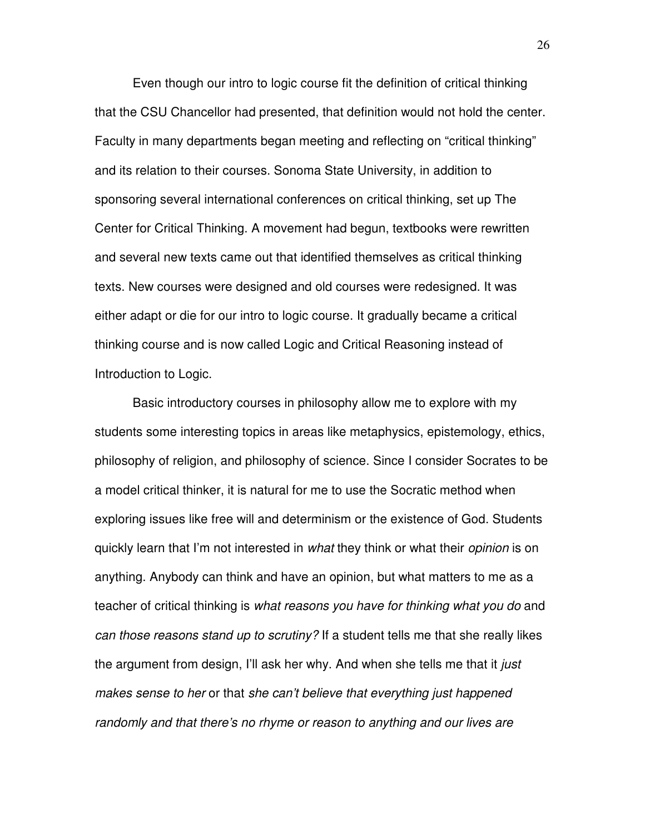Even though our intro to logic course fit the definition of critical thinking that the CSU Chancellor had presented, that definition would not hold the center. Faculty in many departments began meeting and reflecting on "critical thinking" and its relation to their courses. Sonoma State University, in addition to sponsoring several international conferences on critical thinking, set up The Center for Critical Thinking. A movement had begun, textbooks were rewritten and several new texts came out that identified themselves as critical thinking texts. New courses were designed and old courses were redesigned. It was either adapt or die for our intro to logic course. It gradually became a critical thinking course and is now called Logic and Critical Reasoning instead of Introduction to Logic.

Basic introductory courses in philosophy allow me to explore with my students some interesting topics in areas like metaphysics, epistemology, ethics, philosophy of religion, and philosophy of science. Since I consider Socrates to be a model critical thinker, it is natural for me to use the Socratic method when exploring issues like free will and determinism or the existence of God. Students quickly learn that I'm not interested in *what* they think or what their *opinion* is on anything. Anybody can think and have an opinion, but what matters to me as a teacher of critical thinking is *what reasons you have for thinking what you do* and *can those reasons stand up to scrutiny?* If a student tells me that she really likes the argument from design, I'll ask her why. And when she tells me that it *just makes sense to her* or that *she can't believe that everything just happened randomly and that there's no rhyme or reason to anything and our lives are*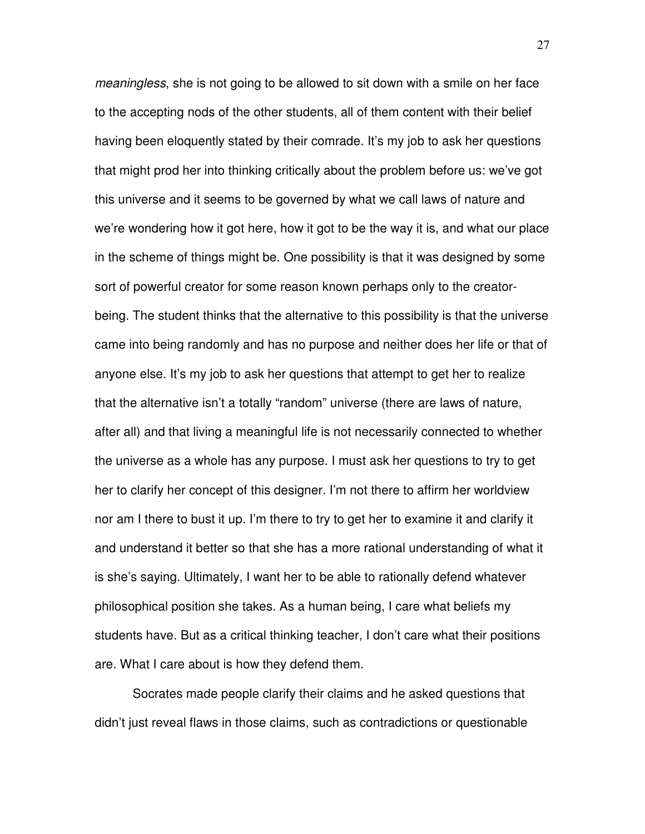*meaningless*, she is not going to be allowed to sit down with a smile on her face to the accepting nods of the other students, all of them content with their belief having been eloquently stated by their comrade. It's my job to ask her questions that might prod her into thinking critically about the problem before us: we've got this universe and it seems to be governed by what we call laws of nature and we're wondering how it got here, how it got to be the way it is, and what our place in the scheme of things might be. One possibility is that it was designed by some sort of powerful creator for some reason known perhaps only to the creatorbeing. The student thinks that the alternative to this possibility is that the universe came into being randomly and has no purpose and neither does her life or that of anyone else. It's my job to ask her questions that attempt to get her to realize that the alternative isn't a totally "random" universe (there are laws of nature, after all) and that living a meaningful life is not necessarily connected to whether the universe as a whole has any purpose. I must ask her questions to try to get her to clarify her concept of this designer. I'm not there to affirm her worldview nor am I there to bust it up. I'm there to try to get her to examine it and clarify it and understand it better so that she has a more rational understanding of what it is she's saying. Ultimately, I want her to be able to rationally defend whatever philosophical position she takes. As a human being, I care what beliefs my students have. But as a critical thinking teacher, I don't care what their positions are. What I care about is how they defend them.

Socrates made people clarify their claims and he asked questions that didn't just reveal flaws in those claims, such as contradictions or questionable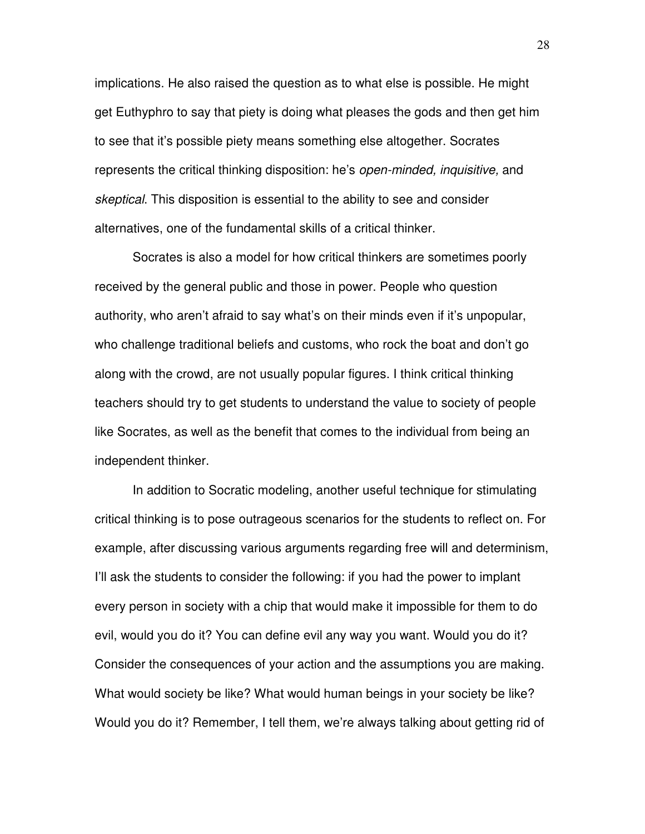implications. He also raised the question as to what else is possible. He might get Euthyphro to say that piety is doing what pleases the gods and then get him to see that it's possible piety means something else altogether. Socrates represents the critical thinking disposition: he's *open-minded, inquisitive,* and *skeptical*. This disposition is essential to the ability to see and consider alternatives, one of the fundamental skills of a critical thinker.

Socrates is also a model for how critical thinkers are sometimes poorly received by the general public and those in power. People who question authority, who aren't afraid to say what's on their minds even if it's unpopular, who challenge traditional beliefs and customs, who rock the boat and don't go along with the crowd, are not usually popular figures. I think critical thinking teachers should try to get students to understand the value to society of people like Socrates, as well as the benefit that comes to the individual from being an independent thinker.

In addition to Socratic modeling, another useful technique for stimulating critical thinking is to pose outrageous scenarios for the students to reflect on. For example, after discussing various arguments regarding free will and determinism, I'll ask the students to consider the following: if you had the power to implant every person in society with a chip that would make it impossible for them to do evil, would you do it? You can define evil any way you want. Would you do it? Consider the consequences of your action and the assumptions you are making. What would society be like? What would human beings in your society be like? Would you do it? Remember, I tell them, we're always talking about getting rid of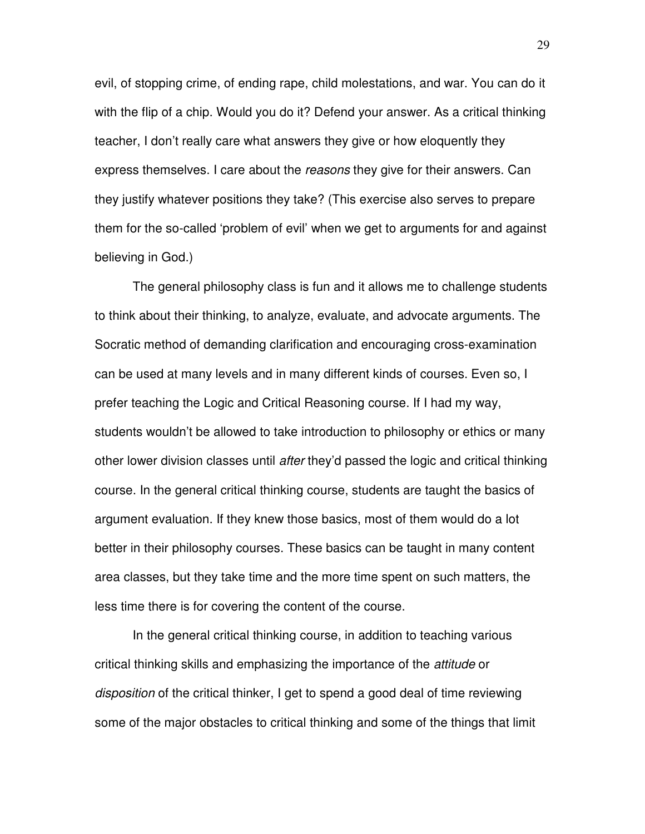evil, of stopping crime, of ending rape, child molestations, and war. You can do it with the flip of a chip. Would you do it? Defend your answer. As a critical thinking teacher, I don't really care what answers they give or how eloquently they express themselves. I care about the *reasons* they give for their answers. Can they justify whatever positions they take? (This exercise also serves to prepare them for the so-called 'problem of evil' when we get to arguments for and against believing in God.)

The general philosophy class is fun and it allows me to challenge students to think about their thinking, to analyze, evaluate, and advocate arguments. The Socratic method of demanding clarification and encouraging cross-examination can be used at many levels and in many different kinds of courses. Even so, I prefer teaching the Logic and Critical Reasoning course. If I had my way, students wouldn't be allowed to take introduction to philosophy or ethics or many other lower division classes until *after* they'd passed the logic and critical thinking course. In the general critical thinking course, students are taught the basics of argument evaluation. If they knew those basics, most of them would do a lot better in their philosophy courses. These basics can be taught in many content area classes, but they take time and the more time spent on such matters, the less time there is for covering the content of the course.

In the general critical thinking course, in addition to teaching various critical thinking skills and emphasizing the importance of the *attitude* or *disposition* of the critical thinker, I get to spend a good deal of time reviewing some of the major obstacles to critical thinking and some of the things that limit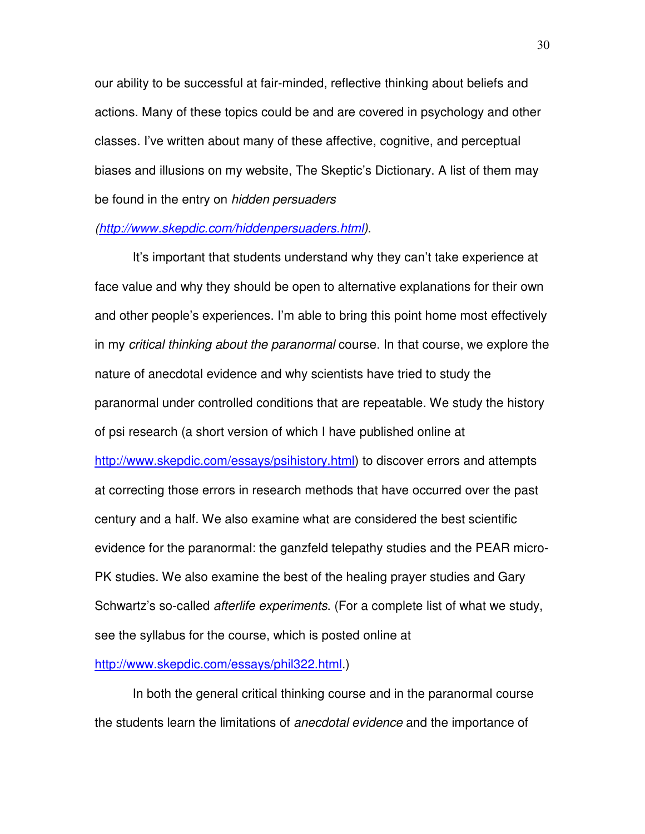our ability to be successful at fair-minded, reflective thinking about beliefs and actions. Many of these topics could be and are covered in psychology and other classes. I've written about many of these affective, cognitive, and perceptual biases and illusions on my website, The Skeptic's Dictionary. A list of them may be found in the entry on *hidden persuaders*

#### *(http://www.skepdic.com/hiddenpersuaders.html)*.

It's important that students understand why they can't take experience at face value and why they should be open to alternative explanations for their own and other people's experiences. I'm able to bring this point home most effectively in my *critical thinking about the paranormal* course. In that course, we explore the nature of anecdotal evidence and why scientists have tried to study the paranormal under controlled conditions that are repeatable. We study the history of psi research (a short version of which I have published online at http://www.skepdic.com/essays/psihistory.html) to discover errors and attempts at correcting those errors in research methods that have occurred over the past century and a half. We also examine what are considered the best scientific evidence for the paranormal: the ganzfeld telepathy studies and the PEAR micro-PK studies. We also examine the best of the healing prayer studies and Gary Schwartz's so-called *afterlife experiments*. (For a complete list of what we study, see the syllabus for the course, which is posted online at

#### http://www.skepdic.com/essays/phil322.html.)

In both the general critical thinking course and in the paranormal course the students learn the limitations of *anecdotal evidence* and the importance of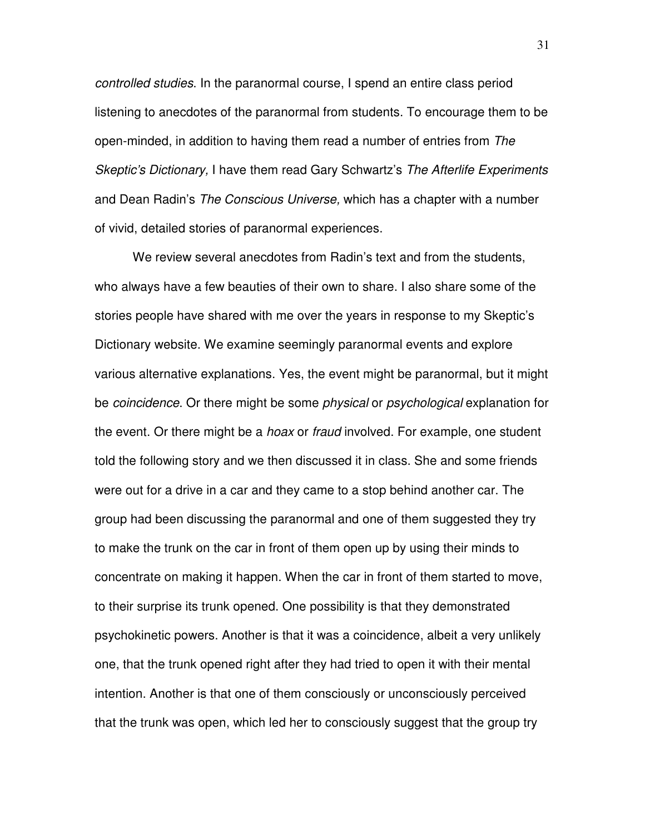*controlled studies*. In the paranormal course, I spend an entire class period listening to anecdotes of the paranormal from students. To encourage them to be open-minded, in addition to having them read a number of entries from *The Skeptic's Dictionary,* I have them read Gary Schwartz's *The Afterlife Experiments* and Dean Radin's *The Conscious Universe,* which has a chapter with a number of vivid, detailed stories of paranormal experiences.

We review several anecdotes from Radin's text and from the students, who always have a few beauties of their own to share. I also share some of the stories people have shared with me over the years in response to my Skeptic's Dictionary website. We examine seemingly paranormal events and explore various alternative explanations. Yes, the event might be paranormal, but it might be *coincidence*. Or there might be some *physical* or *psychological* explanation for the event. Or there might be a *hoax* or *fraud* involved. For example, one student told the following story and we then discussed it in class. She and some friends were out for a drive in a car and they came to a stop behind another car. The group had been discussing the paranormal and one of them suggested they try to make the trunk on the car in front of them open up by using their minds to concentrate on making it happen. When the car in front of them started to move, to their surprise its trunk opened. One possibility is that they demonstrated psychokinetic powers. Another is that it was a coincidence, albeit a very unlikely one, that the trunk opened right after they had tried to open it with their mental intention. Another is that one of them consciously or unconsciously perceived that the trunk was open, which led her to consciously suggest that the group try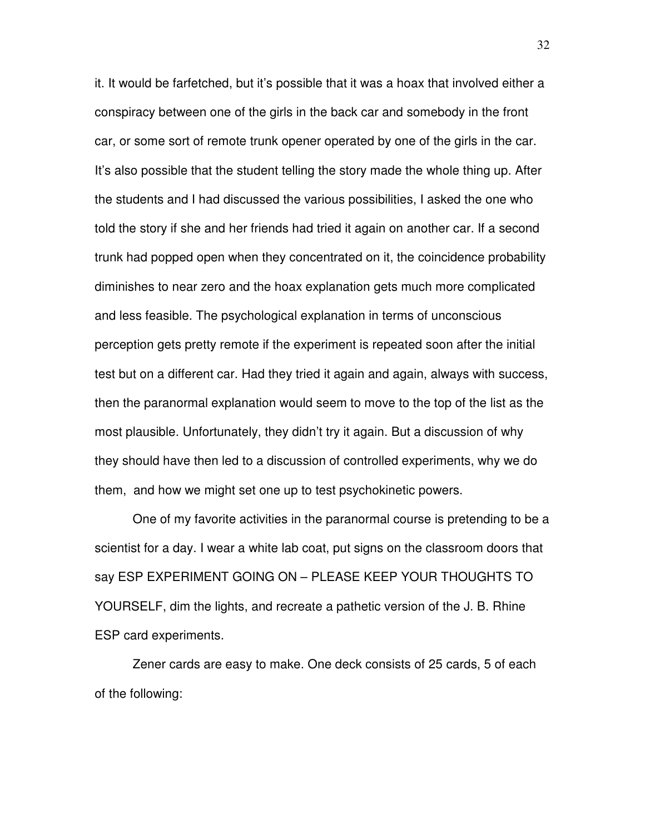it. It would be farfetched, but it's possible that it was a hoax that involved either a conspiracy between one of the girls in the back car and somebody in the front car, or some sort of remote trunk opener operated by one of the girls in the car. It's also possible that the student telling the story made the whole thing up. After the students and I had discussed the various possibilities, I asked the one who told the story if she and her friends had tried it again on another car. If a second trunk had popped open when they concentrated on it, the coincidence probability diminishes to near zero and the hoax explanation gets much more complicated and less feasible. The psychological explanation in terms of unconscious perception gets pretty remote if the experiment is repeated soon after the initial test but on a different car. Had they tried it again and again, always with success, then the paranormal explanation would seem to move to the top of the list as the most plausible. Unfortunately, they didn't try it again. But a discussion of why they should have then led to a discussion of controlled experiments, why we do them, and how we might set one up to test psychokinetic powers.

One of my favorite activities in the paranormal course is pretending to be a scientist for a day. I wear a white lab coat, put signs on the classroom doors that say ESP EXPERIMENT GOING ON – PLEASE KEEP YOUR THOUGHTS TO YOURSELF, dim the lights, and recreate a pathetic version of the J. B. Rhine ESP card experiments.

Zener cards are easy to make. One deck consists of 25 cards, 5 of each of the following: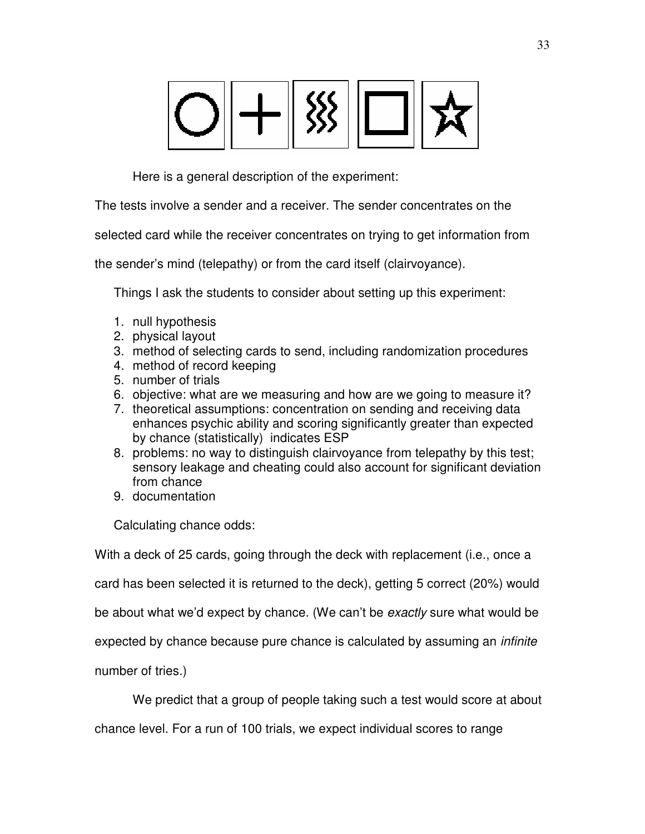

Here is a general description of the experiment:

The tests involve a sender and a receiver. The sender concentrates on the

selected card while the receiver concentrates on trying to get information from

the sender's mind (telepathy) or from the card itself (clairvoyance).

Things I ask the students to consider about setting up this experiment:

- 1. null hypothesis
- 2. physical layout
- 3. method of selecting cards to send, including randomization procedures
- 4. method of record keeping
- 5. number of trials
- 6. objective: what are we measuring and how are we going to measure it?
- 7. theoretical assumptions: concentration on sending and receiving data enhances psychic ability and scoring significantly greater than expected by chance (statistically) indicates ESP
- 8. problems: no way to distinguish clairvoyance from telepathy by this test; sensory leakage and cheating could also account for significant deviation from chance
- 9. documentation

Calculating chance odds:

With a deck of 25 cards, going through the deck with replacement (i.e., once a

card has been selected it is returned to the deck), getting 5 correct (20%) would

be about what we'd expect by chance. (We can't be *exactly* sure what would be

expected by chance because pure chance is calculated by assuming an *infinite*

number of tries.)

We predict that a group of people taking such a test would score at about

chance level. For a run of 100 trials, we expect individual scores to range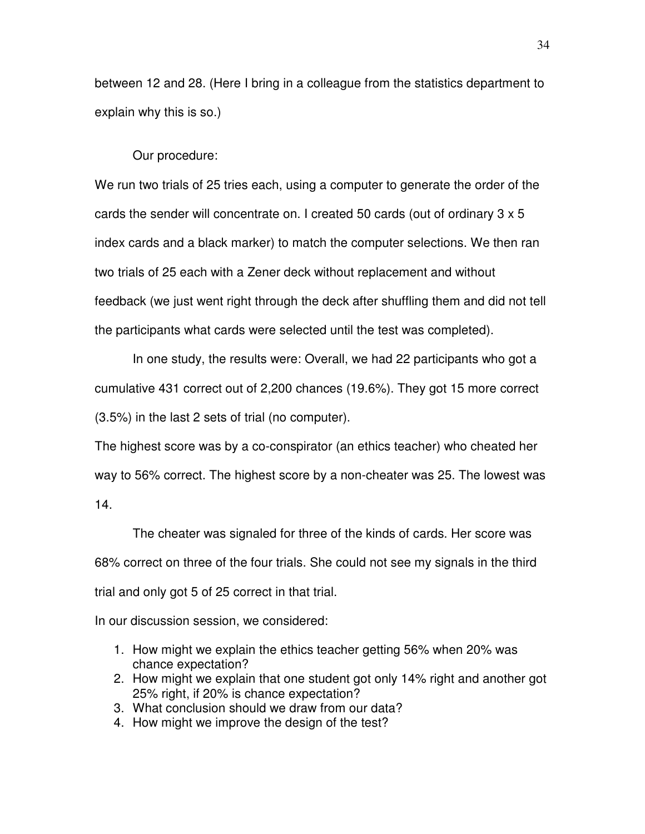between 12 and 28. (Here I bring in a colleague from the statistics department to explain why this is so.)

Our procedure:

We run two trials of 25 tries each, using a computer to generate the order of the cards the sender will concentrate on. I created 50 cards (out of ordinary 3 x 5 index cards and a black marker) to match the computer selections. We then ran two trials of 25 each with a Zener deck without replacement and without feedback (we just went right through the deck after shuffling them and did not tell the participants what cards were selected until the test was completed).

In one study, the results were: Overall, we had 22 participants who got a cumulative 431 correct out of 2,200 chances (19.6%). They got 15 more correct (3.5%) in the last 2 sets of trial (no computer).

The highest score was by a co-conspirator (an ethics teacher) who cheated her way to 56% correct. The highest score by a non-cheater was 25. The lowest was 14.

The cheater was signaled for three of the kinds of cards. Her score was 68% correct on three of the four trials. She could not see my signals in the third trial and only got 5 of 25 correct in that trial.

In our discussion session, we considered:

- 1. How might we explain the ethics teacher getting 56% when 20% was chance expectation?
- 2. How might we explain that one student got only 14% right and another got 25% right, if 20% is chance expectation?
- 3. What conclusion should we draw from our data?
- 4. How might we improve the design of the test?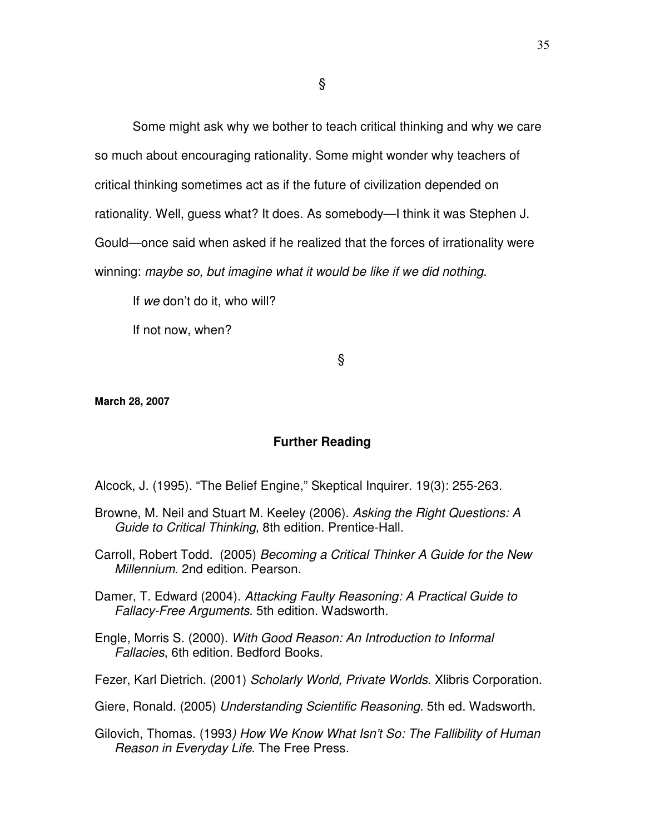Some might ask why we bother to teach critical thinking and why we care so much about encouraging rationality. Some might wonder why teachers of critical thinking sometimes act as if the future of civilization depended on rationality. Well, guess what? It does. As somebody—I think it was Stephen J. Gould—once said when asked if he realized that the forces of irrationality were winning: *maybe so, but imagine what it would be like if we did nothing*.

If *we* don't do it, who will?

If not now, when?

§

**March 28, 2007**

## **Further Reading**

Alcock, J. (1995). "The Belief Engine," Skeptical Inquirer. 19(3): 255-263.

Browne, M. Neil and Stuart M. Keeley (2006). *Asking the Right Questions: A Guide to Critical Thinking*, 8th edition. Prentice-Hall.

Carroll, Robert Todd. (2005) *Becoming a Critical Thinker A Guide for the New Millennium*. 2nd edition. Pearson.

Damer, T. Edward (2004). *Attacking Faulty Reasoning: A Practical Guide to Fallacy-Free Arguments*. 5th edition. Wadsworth.

Engle, Morris S. (2000). *With Good Reason: An Introduction to Informal Fallacies*, 6th edition. Bedford Books.

Fezer, Karl Dietrich. (2001) *Scholarly World, Private Worlds*. Xlibris Corporation.

Giere, Ronald. (2005) *Understanding Scientific Reasoning*. 5th ed. Wadsworth.

Gilovich, Thomas. (1993*) How We Know What Isn't So: The Fallibility of Human Reason in Everyday Life*. The Free Press.